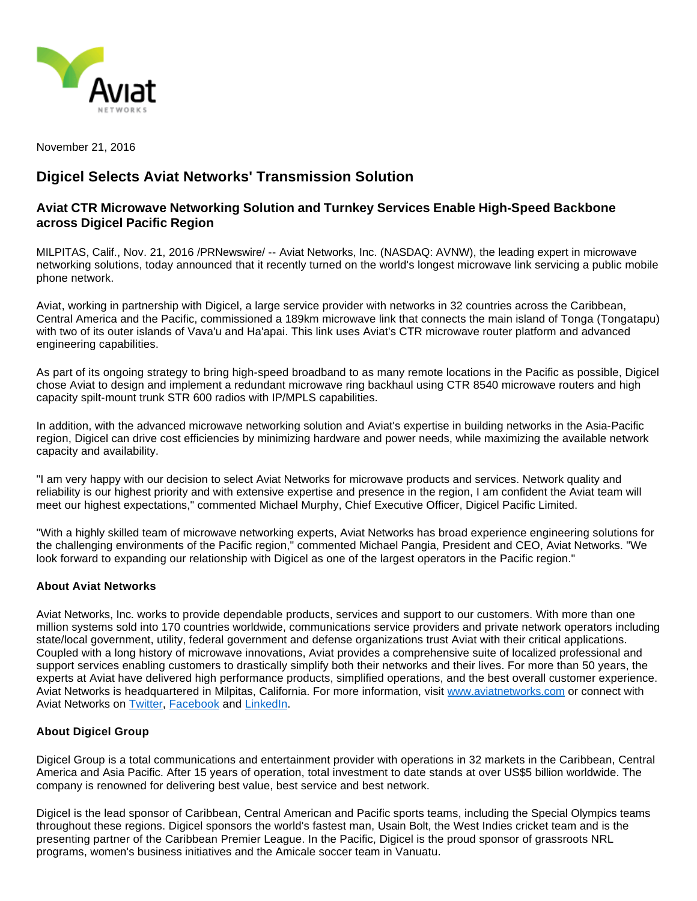

November 21, 2016

## **Digicel Selects Aviat Networks' Transmission Solution**

## **Aviat CTR Microwave Networking Solution and Turnkey Services Enable High-Speed Backbone across Digicel Pacific Region**

MILPITAS, Calif., Nov. 21, 2016 /PRNewswire/ -- Aviat Networks, Inc. (NASDAQ: AVNW), the leading expert in microwave networking solutions, today announced that it recently turned on the world's longest microwave link servicing a public mobile phone network.

Aviat, working in partnership with Digicel, a large service provider with networks in 32 countries across the Caribbean, Central America and the Pacific, commissioned a 189km microwave link that connects the main island of Tonga (Tongatapu) with two of its outer islands of Vava'u and Ha'apai. This link uses Aviat's CTR microwave router platform and advanced engineering capabilities.

As part of its ongoing strategy to bring high-speed broadband to as many remote locations in the Pacific as possible, Digicel chose Aviat to design and implement a redundant microwave ring backhaul using CTR 8540 microwave routers and high capacity spilt-mount trunk STR 600 radios with IP/MPLS capabilities.

In addition, with the advanced microwave networking solution and Aviat's expertise in building networks in the Asia-Pacific region, Digicel can drive cost efficiencies by minimizing hardware and power needs, while maximizing the available network capacity and availability.

"I am very happy with our decision to select Aviat Networks for microwave products and services. Network quality and reliability is our highest priority and with extensive expertise and presence in the region, I am confident the Aviat team will meet our highest expectations," commented Michael Murphy, Chief Executive Officer, Digicel Pacific Limited.

"With a highly skilled team of microwave networking experts, Aviat Networks has broad experience engineering solutions for the challenging environments of the Pacific region," commented Michael Pangia, President and CEO, Aviat Networks. "We look forward to expanding our relationship with Digicel as one of the largest operators in the Pacific region."

## **About Aviat Networks**

Aviat Networks, Inc. works to provide dependable products, services and support to our customers. With more than one million systems sold into 170 countries worldwide, communications service providers and private network operators including state/local government, utility, federal government and defense organizations trust Aviat with their critical applications. Coupled with a long history of microwave innovations, Aviat provides a comprehensive suite of localized professional and support services enabling customers to drastically simplify both their networks and their lives. For more than 50 years, the experts at Aviat have delivered high performance products, simplified operations, and the best overall customer experience. Aviat Networks is headquartered in Milpitas, California. For more information, visit [www.aviatnetworks.com](http://www.aviatnetworks.com/) or connect with Aviat Networks on [Twitter](http://twitter.com/#!/aviatnetworks), [Facebook](https://www.facebook.com/AviatNet) and [LinkedIn.](http://www.linkedin.com/company/779638?trk=tyah)

## **About Digicel Group**

Digicel Group is a total communications and entertainment provider with operations in 32 markets in the Caribbean, Central America and Asia Pacific. After 15 years of operation, total investment to date stands at over US\$5 billion worldwide. The company is renowned for delivering best value, best service and best network.

Digicel is the lead sponsor of Caribbean, Central American and Pacific sports teams, including the Special Olympics teams throughout these regions. Digicel sponsors the world's fastest man, Usain Bolt, the West Indies cricket team and is the presenting partner of the Caribbean Premier League. In the Pacific, Digicel is the proud sponsor of grassroots NRL programs, women's business initiatives and the Amicale soccer team in Vanuatu.